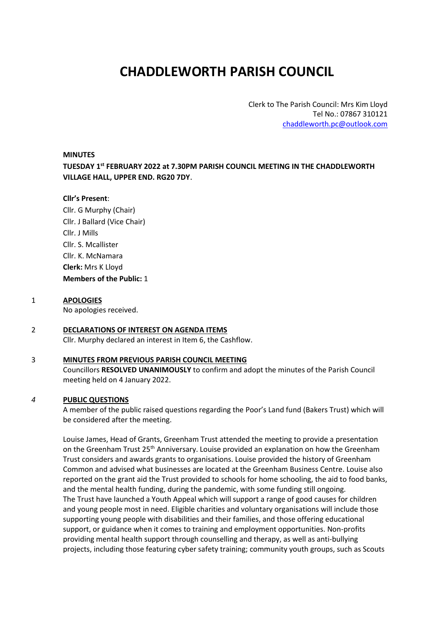# **CHADDLEWORTH PARISH COUNCIL**

Clerk to The Parish Council: Mrs Kim Lloyd Tel No.: 07867 310121 [chaddleworth.pc@outlook.com](mailto:chaddleworth.pc@outlook.com)

#### **MINUTES**

**TUESDAY 1 st FEBRUARY 2022 at 7.30PM PARISH COUNCIL MEETING IN THE CHADDLEWORTH VILLAGE HALL, UPPER END. RG20 7DY**.

#### **Cllr's Present**:

- Cllr. G Murphy (Chair) Cllr. J Ballard (Vice Chair) Cllr. J Mills Cllr. S. Mcallister Cllr. K. McNamara **Clerk:** Mrs K Lloyd **Members of the Public:** 1
- 1 **APOLOGIES** No apologies received.

## 2 **DECLARATIONS OF INTEREST ON AGENDA ITEMS**

Cllr. Murphy declared an interest in Item 6, the Cashflow.

# 3 **MINUTES FROM PREVIOUS PARISH COUNCIL MEETING**

Councillors **RESOLVED UNANIMOUSLY** to confirm and adopt the minutes of the Parish Council meeting held on 4 January 2022.

## *4* **PUBLIC QUESTIONS**

A member of the public raised questions regarding the Poor's Land fund (Bakers Trust) which will be considered after the meeting.

Louise James, Head of Grants, Greenham Trust attended the meeting to provide a presentation on the Greenham Trust 25<sup>th</sup> Anniversary. Louise provided an explanation on how the Greenham Trust considers and awards grants to organisations. Louise provided the history of Greenham Common and advised what businesses are located at the Greenham Business Centre. Louise also reported on the grant aid the Trust provided to schools for home schooling, the aid to food banks, and the mental health funding, during the pandemic, with some funding still ongoing. The Trust have launched a Youth Appeal which will support a range of good causes for children and young people most in need. Eligible charities and voluntary organisations will include those supporting young people with disabilities and their families, and those offering educational support, or guidance when it comes to training and employment opportunities. Non-profits providing mental health support through counselling and therapy, as well as anti-bullying projects, including those featuring cyber safety training; community youth groups, such as Scouts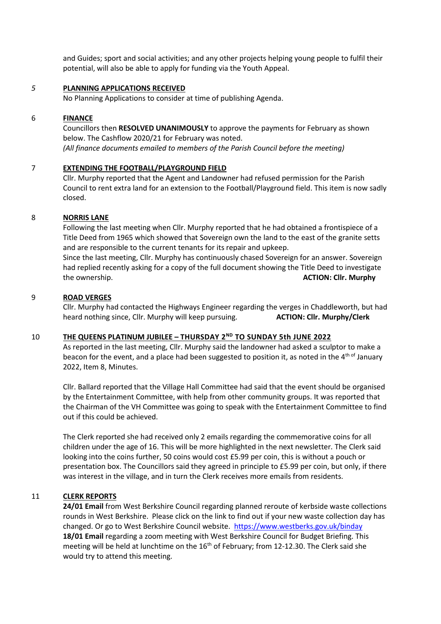and Guides; sport and social activities; and any other projects helping young people to fulfil their potential, will also be able to apply for funding via the Youth Appeal.

#### *5* **PLANNING APPLICATIONS RECEIVED**

No Planning Applications to consider at time of publishing Agenda.

#### 6 **FINANCE**

Councillors then **RESOLVED UNANIMOUSLY** to approve the payments for February as shown below. The Cashflow 2020/21 for February was noted. *(All finance documents emailed to members of the Parish Council before the meeting)*

# 7 **EXTENDING THE FOOTBALL/PLAYGROUND FIELD**

Cllr. Murphy reported that the Agent and Landowner had refused permission for the Parish Council to rent extra land for an extension to the Football/Playground field. This item is now sadly closed.

#### 8 **NORRIS LANE**

Following the last meeting when Cllr. Murphy reported that he had obtained a frontispiece of a Title Deed from 1965 which showed that Sovereign own the land to the east of the granite setts and are responsible to the current tenants for its repair and upkeep.

Since the last meeting, Cllr. Murphy has continuously chased Sovereign for an answer. Sovereign had replied recently asking for a copy of the full document showing the Title Deed to investigate the ownership. **ACTION: Cllr. Murphy**

#### 9 **ROAD VERGES**

Cllr. Murphy had contacted the Highways Engineer regarding the verges in Chaddleworth, but had heard nothing since, Cllr. Murphy will keep pursuing. **ACTION: Cllr. Murphy/Clerk**

#### 10 **THE QUEENS PLATINUM JUBILEE – THURSDAY 2 ND TO SUNDAY 5th JUNE 2022**

As reported in the last meeting, Cllr. Murphy said the landowner had asked a sculptor to make a beacon for the event, and a place had been suggested to position it, as noted in the  $4<sup>th of</sup>$  January 2022, Item 8, Minutes.

Cllr. Ballard reported that the Village Hall Committee had said that the event should be organised by the Entertainment Committee, with help from other community groups. It was reported that the Chairman of the VH Committee was going to speak with the Entertainment Committee to find out if this could be achieved.

The Clerk reported she had received only 2 emails regarding the commemorative coins for all children under the age of 16. This will be more highlighted in the next newsletter. The Clerk said looking into the coins further, 50 coins would cost £5.99 per coin, this is without a pouch or presentation box. The Councillors said they agreed in principle to £5.99 per coin, but only, if there was interest in the village, and in turn the Clerk receives more emails from residents.

## 11 **CLERK REPORTS**

**24/01 Email** from West Berkshire Council regarding planned reroute of kerbside waste collections rounds in West Berkshire. Please click on the link to find out if your new waste collection day has changed. Or go to West Berkshire Council website. <https://www.westberks.gov.uk/binday> **18/01 Email** regarding a zoom meeting with West Berkshire Council for Budget Briefing. This meeting will be held at lunchtime on the 16<sup>th</sup> of February; from 12-12.30. The Clerk said she would try to attend this meeting.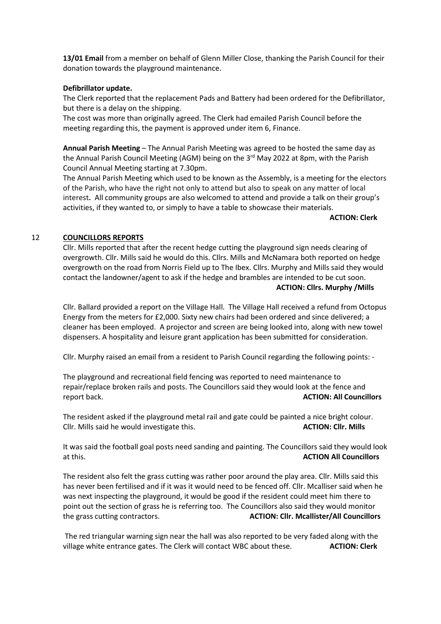**13/01 Email** from a member on behalf of Glenn Miller Close, thanking the Parish Council for their donation towards the playground maintenance.

#### **Defibrillator update.**

The Clerk reported that the replacement Pads and Battery had been ordered for the Defibrillator, but there is a delay on the shipping.

The cost was more than originally agreed. The Clerk had emailed Parish Council before the meeting regarding this, the payment is approved under item 6, Finance.

**Annual Parish Meeting** – The Annual Parish Meeting was agreed to be hosted the same day as the Annual Parish Council Meeting (AGM) being on the 3<sup>rd</sup> May 2022 at 8pm, with the Parish Council Annual Meeting starting at 7.30pm.

The Annual Parish Meeting which used to be known as the Assembly, is a meeting for the electors of the Parish, who have the right not only to attend but also to speak on any matter of local interest**.** All community groups are also welcomed to attend and provide a talk on their group's activities, if they wanted to, or simply to have a table to showcase their materials.

**ACTION: Clerk**

#### 12 **COUNCILLORS REPORTS**

Cllr. Mills reported that after the recent hedge cutting the playground sign needs clearing of overgrowth. Cllr. Mills said he would do this. Cllrs. Mills and McNamara both reported on hedge overgrowth on the road from Norris Field up to The Ibex. Cllrs. Murphy and Mills said they would contact the landowner/agent to ask if the hedge and brambles are intended to be cut soon. **ACTION: Cllrs. Murphy /Mills**

Cllr. Ballard provided a report on the Village Hall. The Village Hall received a refund from Octopus Energy from the meters for £2,000. Sixty new chairs had been ordered and since delivered; a cleaner has been employed. A projector and screen are being looked into, along with new towel dispensers. A hospitality and leisure grant application has been submitted for consideration.

Cllr. Murphy raised an email from a resident to Parish Council regarding the following points: -

The playground and recreational field fencing was reported to need maintenance to repair/replace broken rails and posts. The Councillors said they would look at the fence and report back. **ACTION: All Councillors**

The resident asked if the playground metal rail and gate could be painted a nice bright colour. Cllr. Mills said he would investigate this. **ACTION: Cllr. Mills**

It was said the football goal posts need sanding and painting. The Councillors said they would look at this. **ACTION All Councillors**

The resident also felt the grass cutting was rather poor around the play area. Cllr. Mills said this has never been fertilised and if it was it would need to be fenced off. Cllr. Mcalliser said when he was next inspecting the playground, it would be good if the resident could meet him there to point out the section of grass he is referring too. The Councillors also said they would monitor the grass cutting contractors. **ACTION: Cllr. Mcallister/All Councillors**

The red triangular warning sign near the hall was also reported to be very faded along with the village white entrance gates. The Clerk will contact WBC about these. **ACTION: Clerk**